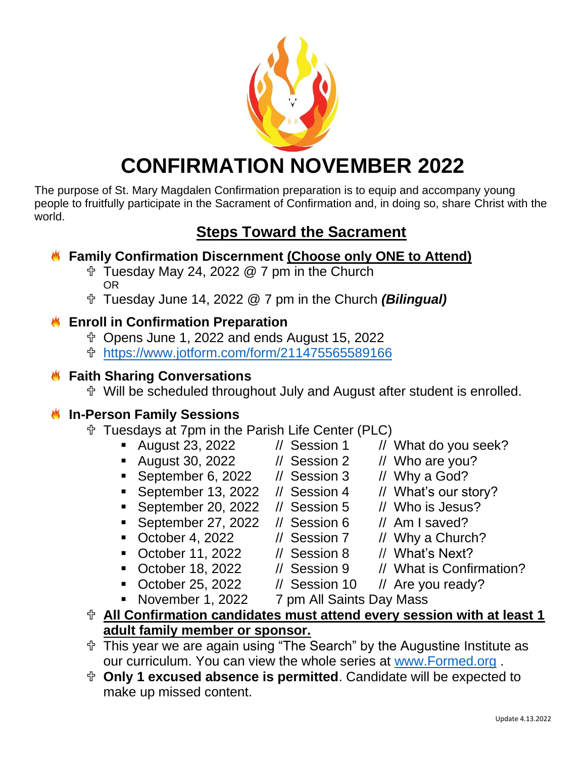

# **CONFIRMATION NOVEMBER 2022**

The purpose of St. Mary Magdalen Confirmation preparation is to equip and accompany young people to fruitfully participate in the Sacrament of Confirmation and, in doing so, share Christ with the world.

# **Steps Toward the Sacrament**

# **Family Confirmation Discernment (Choose only ONE to Attend)**

- $\textcolor{red}{\uparrow}$  Tuesday May 24, 2022 @ 7 pm in the Church OR
- Tuesday June 14, 2022 @ 7 pm in the Church *(Bilingual)*

# **Enroll in Confirmation Preparation**

- Opens June 1, 2022 and ends August 15, 2022
- <https://www.jotform.com/form/211475565589166>

### **K** Faith Sharing Conversations

Will be scheduled throughout July and August after student is enrolled.

# **In-Person Family Sessions**

- Tuesdays at 7pm in the Parish Life Center (PLC)
	- August 23, 2022 // Session 1 // What do you seek?
	- August 30, 2022 // Session 2 // Who are you?
	- September 6, 2022 // Session 3 // Why a God?
	- September 13, 2022 // Session 4 // What's our story?
	- September 20, 2022 // Session 5 // Who is Jesus?
	- September 27, 2022 // Session 6 // Am I saved?
	- October 4, 2022  $\frac{1}{10}$  Session 7  $\frac{1}{10}$  Why a Church?
	- October 11, 2022 // Session 8 // What's Next?
	-
	-
	- November 1, 2022 7 pm All Saints Day Mass
- **All Confirmation candidates must attend every session with at least 1 adult family member or sponsor.**
- This year we are again using "The Search" by the Augustine Institute as our curriculum. You can view the whole series at [www.Formed.org](http://www.formed.org/) .
- **Only 1 excused absence is permitted**. Candidate will be expected to make up missed content.
- -
- 
- 
- 
- 
- 
- 
- October 18, 2022 // Session 9 // What is Confirmation?
- October 25, 2022 // Session 10 // Are you ready?